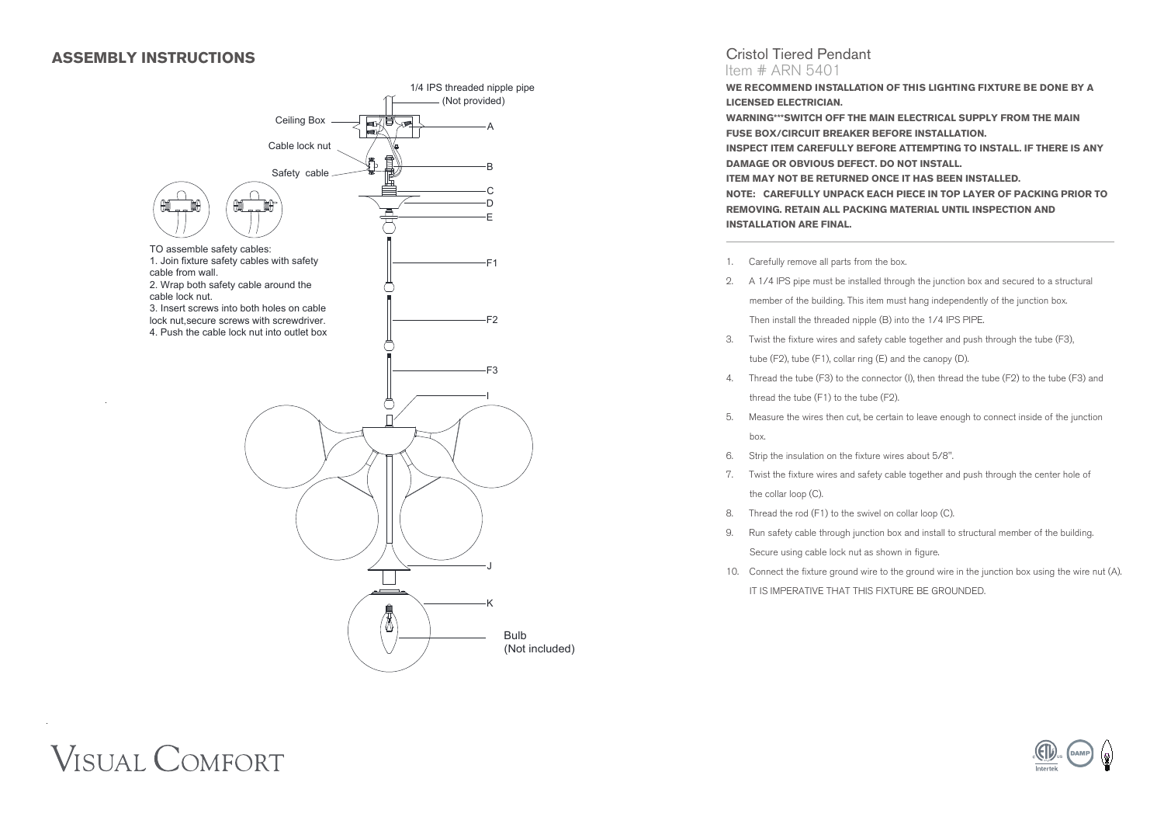## **ASSEMBLY INSTRUCTIONS**



#### Cristol Tiered Pendant Item # ARN 5401

**WE RECOMMEND INSTALLATION OF THIS LIGHTING FIXTURE BE DONE BY A LICENSED ELECTRICIAN. WARNING\*\*\*SWITCH OFF THE MAIN ELECTRICAL SUPPLY FROM THE MAIN FUSE BOX/CIRCUIT BREAKER BEFORE INSTALLATION. INSPECT ITEM CAREFULLY BEFORE ATTEMPTING TO INSTALL. IF THERE IS ANY DAMAGE OR OBVIOUS DEFECT. DO NOT INSTALL. ITEM MAY NOT BE RETURNED ONCE IT HAS BEEN INSTALLED. NOTE: CAREFULLY UNPACK EACH PIECE IN TOP LAYER OF PACKING PRIOR TO REMOVING. RETAIN ALL PACKING MATERIAL UNTIL INSPECTION AND INSTALLATION ARE FINAL.** 

- 1. Carefully remove all parts from the box.
- 2. A 1/4 IPS pipe must be installed through the junction box and secured to a structural member of the building. This item must hang independently of the junction box. Then install the threaded nipple (B) into the 1/4 IPS PIPE.
- 3. Twist the fixture wires and safety cable together and push through the tube (F3), tube (F2), tube (F1), collar ring (E) and the canopy (D).
- 4. Thread the tube (F3) to the connector (I), then thread the tube (F2) to the tube (F3) and thread the tube (F1) to the tube (F2).
- 5. Measure the wires then cut, be certain to leave enough to connect inside of the junction box.
- 6. Strip the insulation on the fixture wires about 5/8".
- 7. Twist the fixture wires and safety cable together and push through the center hole of the collar loop (C).
- 8. Thread the rod (F1) to the swivel on collar loop (C).
- 9. Run safety cable through junction box and install to structural member of the building. Secure using cable lock nut as shown in figure.
- 10. Connect the fixture ground wire to the ground wire in the junction box using the wire nut (A). IT IS IMPERATIVE THAT THIS FIXTURE BE GROUNDED.

# **VISUAL COMFORT**